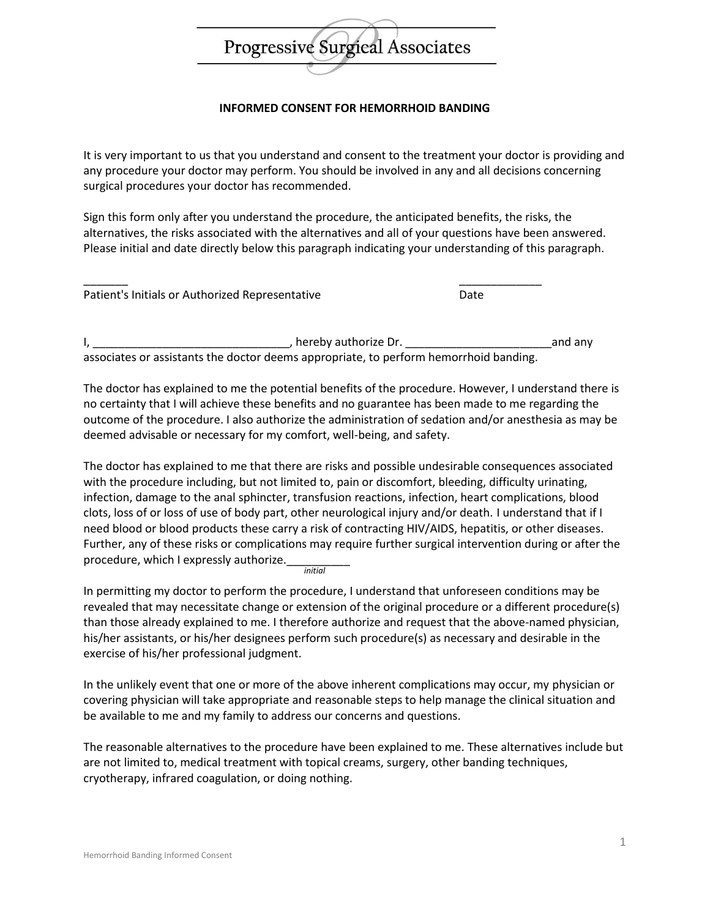

## **INFORMED CONSENT FOR HEMORRHOID BANDING**

It is very important to us that you understand and consent to the treatment your doctor is providing and any procedure your doctor may perform. You should be involved in any and all decisions concerning surgical procedures your doctor has recommended.

Sign this form only after you understand the procedure, the anticipated benefits, the risks, the alternatives, the risks associated with the alternatives and all of your questions have been answered. Please initial and date directly below this paragraph indicating your understanding of this paragraph.

| Patient's Initials or Authorized Representative | Date |
|-------------------------------------------------|------|

I, \_\_\_\_\_\_\_\_\_\_\_\_\_\_\_\_\_\_\_\_\_\_\_\_\_\_\_\_\_\_\_, hereby authorize Dr. \_\_\_\_\_\_\_\_\_\_\_\_\_\_\_\_\_\_\_\_\_\_\_and any associates or assistants the doctor deems appropriate, to perform hemorrhoid banding.

The doctor has explained to me the potential benefits of the procedure. However, I understand there is no certainty that I will achieve these benefits and no guarantee has been made to me regarding the outcome of the procedure. I also authorize the administration of sedation and/or anesthesia as may be deemed advisable or necessary for my comfort, well-being, and safety.

The doctor has explained to me that there are risks and possible undesirable consequences associated with the procedure including, but not limited to, pain or discomfort, bleeding, difficulty urinating, infection, damage to the anal sphincter, transfusion reactions, infection, heart complications, blood clots, loss of or loss of use of body part, other neurological injury and/or death. I understand that if I need blood or blood products these carry a risk of contracting HIV/AIDS, hepatitis, or other diseases. Further, any of these risks or complications may require further surgical intervention during or after the procedure, which I expressly authorize. *initial*

In permitting my doctor to perform the procedure, I understand that unforeseen conditions may be revealed that may necessitate change or extension of the original procedure or a different procedure(s) than those already explained to me. I therefore authorize and request that the above-named physician, his/her assistants, or his/her designees perform such procedure(s) as necessary and desirable in the exercise of his/her professional judgment.

In the unlikely event that one or more of the above inherent complications may occur, my physician or covering physician will take appropriate and reasonable steps to help manage the clinical situation and be available to me and my family to address our concerns and questions.

The reasonable alternatives to the procedure have been explained to me. These alternatives include but are not limited to, medical treatment with topical creams, surgery, other banding techniques, cryotherapy, infrared coagulation, or doing nothing.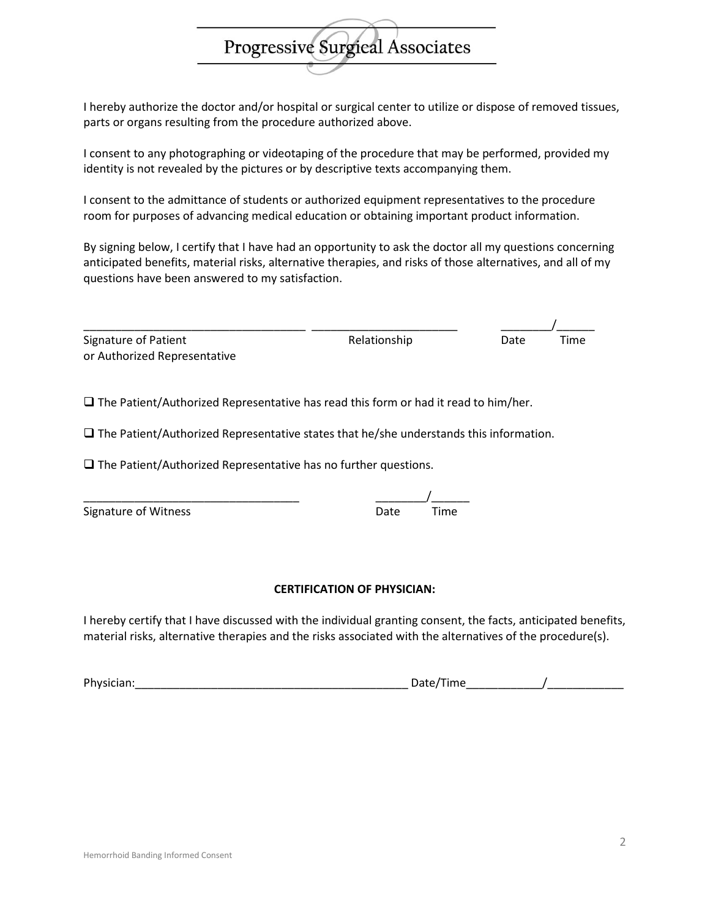## I hereby authorize the doctor and/or hospital or surgical center to utilize or dispose of removed tissues, parts or organs resulting from the procedure authorized above.

Progressive Surgical Associates

I consent to any photographing or videotaping of the procedure that may be performed, provided my identity is not revealed by the pictures or by descriptive texts accompanying them.

I consent to the admittance of students or authorized equipment representatives to the procedure room for purposes of advancing medical education or obtaining important product information.

By signing below, I certify that I have had an opportunity to ask the doctor all my questions concerning anticipated benefits, material risks, alternative therapies, and risks of those alternatives, and all of my questions have been answered to my satisfaction.

| Signature of Patient         | Relationship | Date | Time |
|------------------------------|--------------|------|------|
| or Authorized Representative |              |      |      |

 $\square$  The Patient/Authorized Representative has read this form or had it read to him/her.

 $\square$  The Patient/Authorized Representative states that he/she understands this information.

 $\square$  The Patient/Authorized Representative has no further questions.

\_\_\_\_\_\_\_\_\_\_\_\_\_\_\_\_\_\_\_\_\_\_\_\_\_\_\_\_\_\_\_\_\_\_ \_\_\_\_\_\_\_\_/\_\_\_\_\_\_

| Signature of Witness | Date | Time |
|----------------------|------|------|
|                      |      |      |

#### **CERTIFICATION OF PHYSICIAN:**

I hereby certify that I have discussed with the individual granting consent, the facts, anticipated benefits, material risks, alternative therapies and the risks associated with the alternatives of the procedure(s).

Physician:\_\_\_\_\_\_\_\_\_\_\_\_\_\_\_\_\_\_\_\_\_\_\_\_\_\_\_\_\_\_\_\_\_\_\_\_\_\_\_\_\_\_\_ Date/Time\_\_\_\_\_\_\_\_\_\_\_\_/\_\_\_\_\_\_\_\_\_\_\_\_